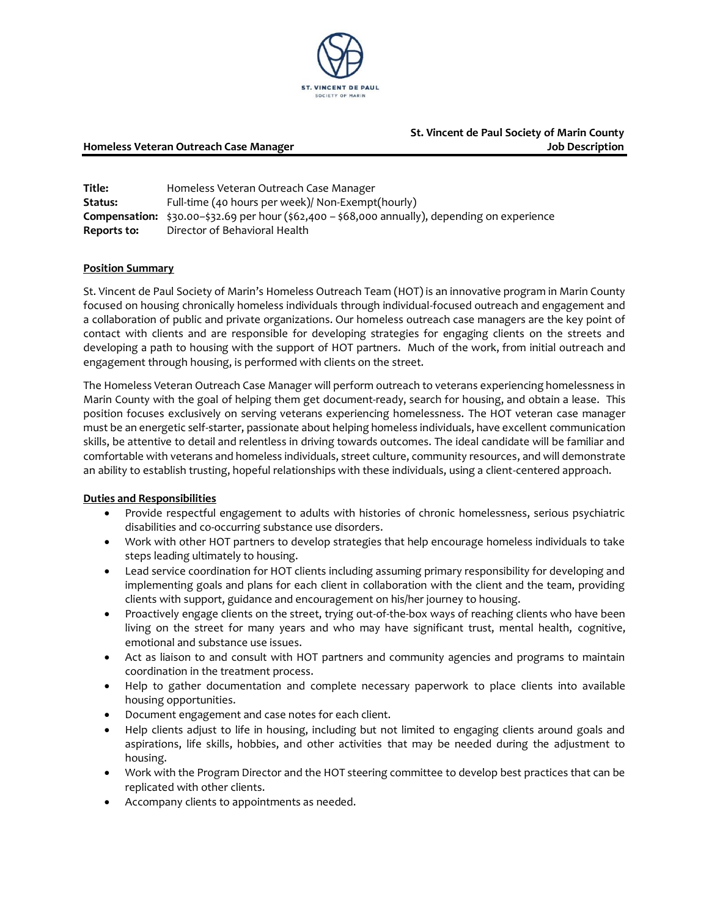

# **St. Vincent de Paul Society of Marin County Homeless Veteran Outreach Case Manager Job Description**

| Title:      | Homeless Veteran Outreach Case Manager                                                                                    |
|-------------|---------------------------------------------------------------------------------------------------------------------------|
| Status:     | Full-time (40 hours per week)/ Non-Exempt(hourly)                                                                         |
|             | <b>Compensation:</b> \$30.00-\$32.69 per hour $(\frac{2}{562,400} - \frac{2}{568,000}$ annually), depending on experience |
| Reports to: | Director of Behavioral Health                                                                                             |

#### **Position Summary**

St. Vincent de Paul Society of Marin's Homeless Outreach Team (HOT) is an innovative program in Marin County focused on housing chronically homeless individuals through individual-focused outreach and engagement and a collaboration of public and private organizations. Our homeless outreach case managers are the key point of contact with clients and are responsible for developing strategies for engaging clients on the streets and developing a path to housing with the support of HOT partners. Much of the work, from initial outreach and engagement through housing, is performed with clients on the street.

The Homeless Veteran Outreach Case Manager will perform outreach to veterans experiencing homelessness in Marin County with the goal of helping them get document-ready, search for housing, and obtain a lease. This position focuses exclusively on serving veterans experiencing homelessness. The HOT veteran case manager must be an energetic self-starter, passionate about helping homeless individuals, have excellent communication skills, be attentive to detail and relentless in driving towards outcomes. The ideal candidate will be familiar and comfortable with veterans and homeless individuals, street culture, community resources, and will demonstrate an ability to establish trusting, hopeful relationships with these individuals, using a client-centered approach.

#### **Duties and Responsibilities**

- Provide respectful engagement to adults with histories of chronic homelessness, serious psychiatric disabilities and co-occurring substance use disorders.
- Work with other HOT partners to develop strategies that help encourage homeless individuals to take steps leading ultimately to housing.
- Lead service coordination for HOT clients including assuming primary responsibility for developing and implementing goals and plans for each client in collaboration with the client and the team, providing clients with support, guidance and encouragement on his/her journey to housing.
- Proactively engage clients on the street, trying out-of-the-box ways of reaching clients who have been living on the street for many years and who may have significant trust, mental health, cognitive, emotional and substance use issues.
- Act as liaison to and consult with HOT partners and community agencies and programs to maintain coordination in the treatment process.
- Help to gather documentation and complete necessary paperwork to place clients into available housing opportunities.
- Document engagement and case notes for each client.
- Help clients adjust to life in housing, including but not limited to engaging clients around goals and aspirations, life skills, hobbies, and other activities that may be needed during the adjustment to housing.
- Work with the Program Director and the HOT steering committee to develop best practices that can be replicated with other clients.
- Accompany clients to appointments as needed.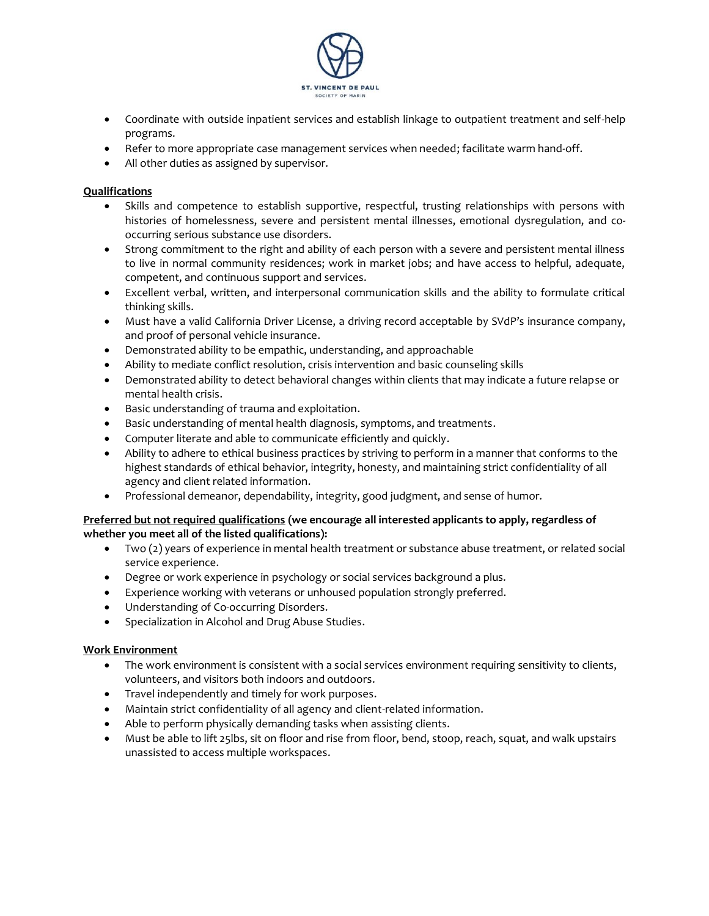

- Coordinate with outside inpatient services and establish linkage to outpatient treatment and self-help programs.
- Refer to more appropriate case management services when needed; facilitate warm hand-off.
- All other duties as assigned by supervisor.

# **Qualifications**

- Skills and competence to establish supportive, respectful, trusting relationships with persons with histories of homelessness, severe and persistent mental illnesses, emotional dysregulation, and cooccurring serious substance use disorders.
- Strong commitment to the right and ability of each person with a severe and persistent mental illness to live in normal community residences; work in market jobs; and have access to helpful, adequate, competent, and continuous support and services.
- Excellent verbal, written, and interpersonal communication skills and the ability to formulate critical thinking skills.
- Must have a valid California Driver License, a driving record acceptable by SVdP's insurance company, and proof of personal vehicle insurance.
- Demonstrated ability to be empathic, understanding, and approachable
- Ability to mediate conflict resolution, crisis intervention and basic counseling skills
- Demonstrated ability to detect behavioral changes within clients that may indicate a future relapse or mental health crisis.
- Basic understanding of trauma and exploitation.
- Basic understanding of mental health diagnosis, symptoms, and treatments.
- Computer literate and able to communicate efficiently and quickly.
- Ability to adhere to ethical business practices by striving to perform in a manner that conforms to the highest standards of ethical behavior, integrity, honesty, and maintaining strict confidentiality of all agency and client related information.
- Professional demeanor, dependability, integrity, good judgment, and sense of humor.

# **Preferred but not required qualifications (we encourage all interested applicants to apply, regardless of whether you meet all of the listed qualifications):**

- Two (2) years of experience in mental health treatment or substance abuse treatment, or related social service experience.
- Degree or work experience in psychology or social services background a plus.
- Experience working with veterans or unhoused population strongly preferred.
- Understanding of Co-occurring Disorders.
- Specialization in Alcohol and Drug Abuse Studies.

#### **Work Environment**

- The work environment is consistent with a social services environment requiring sensitivity to clients, volunteers, and visitors both indoors and outdoors.
- Travel independently and timely for work purposes.
- Maintain strict confidentiality of all agency and client-related information.
- Able to perform physically demanding tasks when assisting clients.
- Must be able to lift 25lbs, sit on floor and rise from floor, bend, stoop, reach, squat, and walk upstairs unassisted to access multiple workspaces.